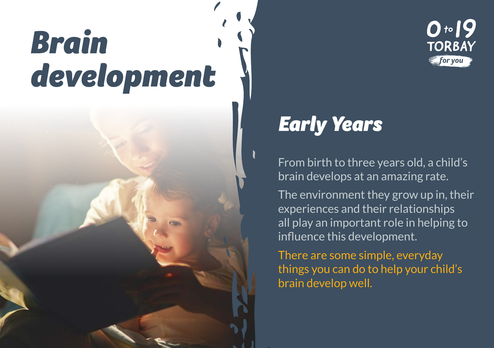## *Brain development*



From birth to three years old, a child's brain develops at an amazing rate.

 $0.19$ 

**TORBAY** for you

The environment they grow up in, their experiences and their relationships all play an important role in helping to influence this development.

There are some simple, everyday things you can do to help your child's brain develop well.